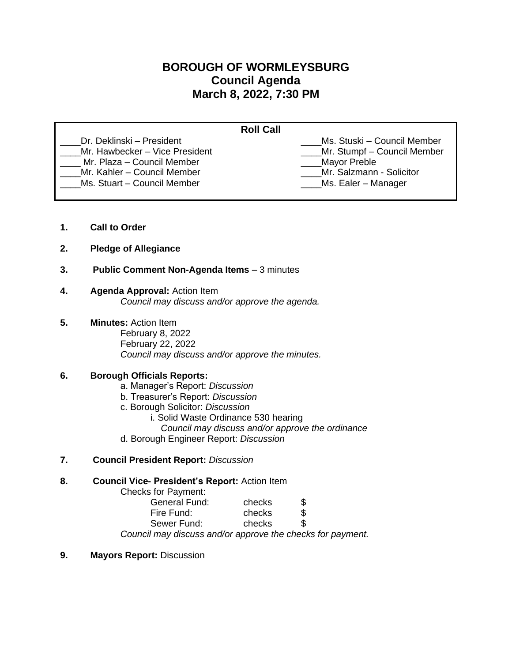# **BOROUGH OF WORMLEYSBURG Council Agenda March 8, 2022, 7:30 PM**

| <b>Roll Call</b>               |                             |
|--------------------------------|-----------------------------|
| Dr. Deklinski – President      | Ms. Stuski - Council Member |
| Mr. Hawbecker - Vice President | Mr. Stumpf - Council Member |
| Mr. Plaza - Council Member     | __Mayor Preble              |
| Mr. Kahler - Council Member    | Mr. Salzmann - Solicitor    |
| Ms. Stuart - Council Member    | ___Ms. Ealer - Manager      |

- **1. Call to Order**
- **2. Pledge of Allegiance**
- **3. Public Comment Non-Agenda Items** 3 minutes

# **4. Agenda Approval:** Action Item

*Council may discuss and/or approve the agenda.*

- **5. Minutes:** Action Item
	- February 8, 2022 February 22, 2022 *Council may discuss and/or approve the minutes.*

## **6. Borough Officials Reports:**

- a. Manager's Report: *Discussion*
- b. Treasurer's Report: *Discussion*
- c. Borough Solicitor: *Discussion*
	- i. Solid Waste Ordinance 530 hearing
	- *Council may discuss and/or approve the ordinance*
- d. Borough Engineer Report: *Discussion*
- **7. Council President Report:** *Discussion*

**8. Council Vice- President's Report:** Action Item Checks for Payment: General Fund: checks \$<br>
Fire Fund: checks \$ Fire Fund: checks \$<br>
Sewer Fund: checks \$

Sewer Fund: checks

*Council may discuss and/or approve the checks for payment.*

**9. Mayors Report:** Discussion